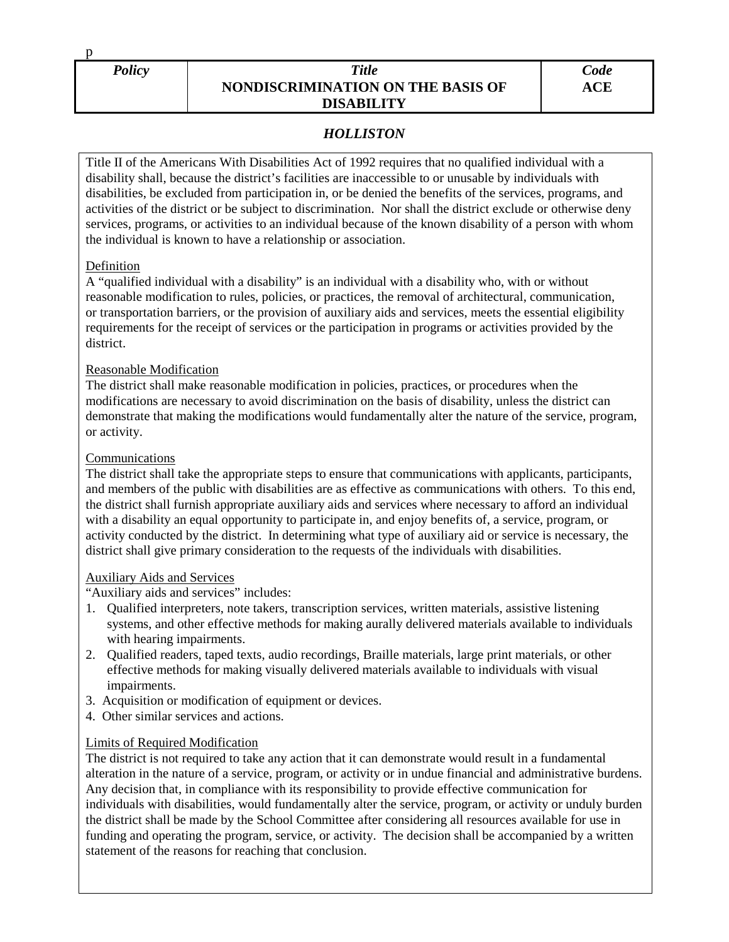p

## *Policy Title* **NONDISCRIMINATION ON THE BASIS OF DISABILITY**

# *HOLLISTON*

Title II of the Americans With Disabilities Act of 1992 requires that no qualified individual with a disability shall, because the district's facilities are inaccessible to or unusable by individuals with disabilities, be excluded from participation in, or be denied the benefits of the services, programs, and activities of the district or be subject to discrimination. Nor shall the district exclude or otherwise deny services, programs, or activities to an individual because of the known disability of a person with whom the individual is known to have a relationship or association.

### Definition

A "qualified individual with a disability" is an individual with a disability who, with or without reasonable modification to rules, policies, or practices, the removal of architectural, communication, or transportation barriers, or the provision of auxiliary aids and services, meets the essential eligibility requirements for the receipt of services or the participation in programs or activities provided by the district.

# Reasonable Modification

The district shall make reasonable modification in policies, practices, or procedures when the modifications are necessary to avoid discrimination on the basis of disability, unless the district can demonstrate that making the modifications would fundamentally alter the nature of the service, program, or activity.

# Communications

The district shall take the appropriate steps to ensure that communications with applicants, participants, and members of the public with disabilities are as effective as communications with others. To this end, the district shall furnish appropriate auxiliary aids and services where necessary to afford an individual with a disability an equal opportunity to participate in, and enjoy benefits of, a service, program, or activity conducted by the district. In determining what type of auxiliary aid or service is necessary, the district shall give primary consideration to the requests of the individuals with disabilities.

### Auxiliary Aids and Services

"Auxiliary aids and services" includes:

- 1. Qualified interpreters, note takers, transcription services, written materials, assistive listening systems, and other effective methods for making aurally delivered materials available to individuals with hearing impairments.
- 2. Qualified readers, taped texts, audio recordings, Braille materials, large print materials, or other effective methods for making visually delivered materials available to individuals with visual impairments.
- 3. Acquisition or modification of equipment or devices.
- 4. Other similar services and actions.

# Limits of Required Modification

The district is not required to take any action that it can demonstrate would result in a fundamental alteration in the nature of a service, program, or activity or in undue financial and administrative burdens. Any decision that, in compliance with its responsibility to provide effective communication for individuals with disabilities, would fundamentally alter the service, program, or activity or unduly burden the district shall be made by the School Committee after considering all resources available for use in funding and operating the program, service, or activity. The decision shall be accompanied by a written statement of the reasons for reaching that conclusion.